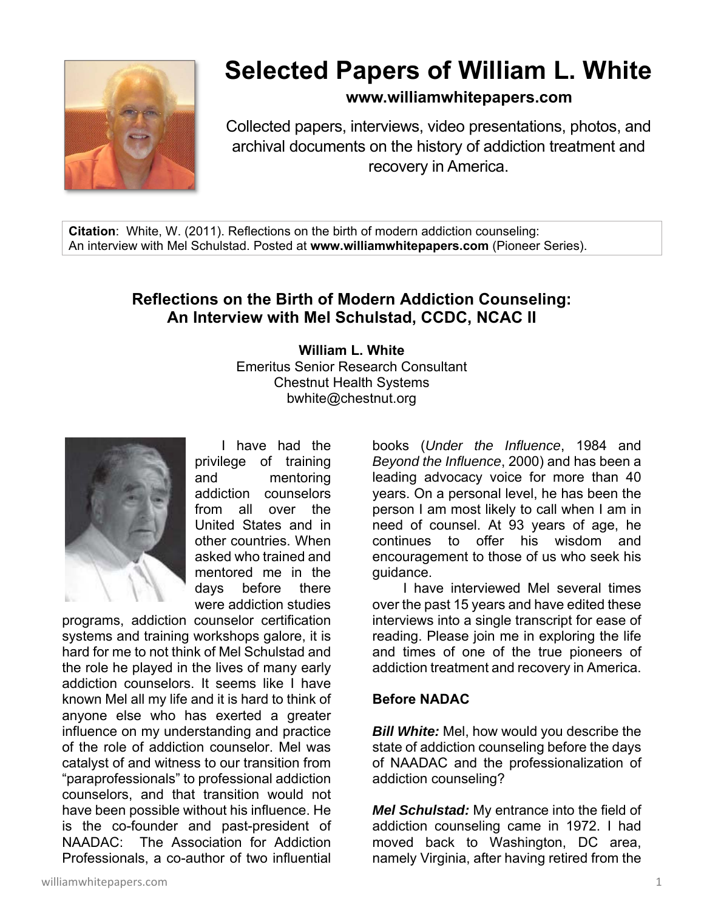

# **Selected Papers of William L. White**

# **www.williamwhitepapers.com**

Collected papers, interviews, video presentations, photos, and archival documents on the history of addiction treatment and recovery in America.

**Citation**: White, W. (2011). Reflections on the birth of modern addiction counseling: An interview with Mel Schulstad. Posted at **www.williamwhitepapers.com** (Pioneer Series).

# **Reflections on the Birth of Modern Addiction Counseling: An Interview with Mel Schulstad, CCDC, NCAC II**

#### **William L. White**  Emeritus Senior Research Consultant Chestnut Health Systems bwhite@chestnut.org



 I have had the privilege of training and mentoring addiction counselors from all over the United States and in other countries. When asked who trained and mentored me in the days before there were addiction studies

programs, addiction counselor certification systems and training workshops galore, it is hard for me to not think of Mel Schulstad and the role he played in the lives of many early addiction counselors. It seems like I have known Mel all my life and it is hard to think of anyone else who has exerted a greater influence on my understanding and practice of the role of addiction counselor. Mel was catalyst of and witness to our transition from "paraprofessionals" to professional addiction counselors, and that transition would not have been possible without his influence. He is the co-founder and past-president of NAADAC: The Association for Addiction Professionals, a co-author of two influential books (*Under the Influence*, 1984 and *Beyond the Influence*, 2000) and has been a leading advocacy voice for more than 40 years. On a personal level, he has been the person I am most likely to call when I am in need of counsel. At 93 years of age, he continues to offer his wisdom and encouragement to those of us who seek his guidance.

 I have interviewed Mel several times over the past 15 years and have edited these interviews into a single transcript for ease of reading. Please join me in exploring the life and times of one of the true pioneers of addiction treatment and recovery in America.

## **Before NADAC**

*Bill White:* Mel, how would you describe the state of addiction counseling before the days of NAADAC and the professionalization of addiction counseling?

*Mel Schulstad:* My entrance into the field of addiction counseling came in 1972. I had moved back to Washington, DC area, namely Virginia, after having retired from the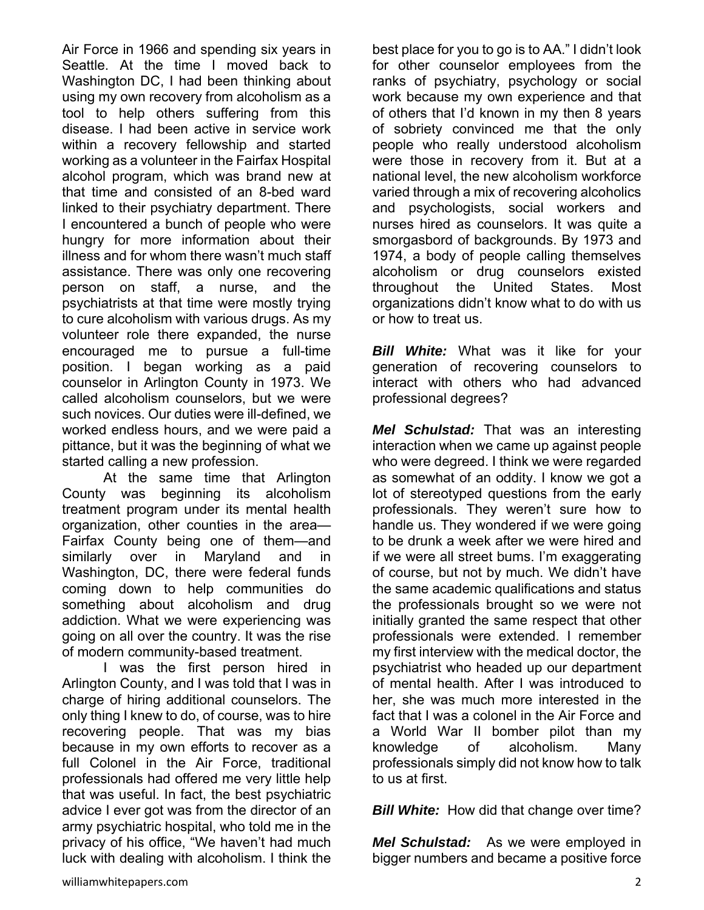Air Force in 1966 and spending six years in Seattle. At the time I moved back to Washington DC, I had been thinking about using my own recovery from alcoholism as a tool to help others suffering from this disease. I had been active in service work within a recovery fellowship and started working as a volunteer in the Fairfax Hospital alcohol program, which was brand new at that time and consisted of an 8-bed ward linked to their psychiatry department. There I encountered a bunch of people who were hungry for more information about their illness and for whom there wasn't much staff assistance. There was only one recovering person on staff, a nurse, and the psychiatrists at that time were mostly trying to cure alcoholism with various drugs. As my volunteer role there expanded, the nurse encouraged me to pursue a full-time position. I began working as a paid counselor in Arlington County in 1973. We called alcoholism counselors, but we were such novices. Our duties were ill-defined, we worked endless hours, and we were paid a pittance, but it was the beginning of what we started calling a new profession.

 At the same time that Arlington County was beginning its alcoholism treatment program under its mental health organization, other counties in the area— Fairfax County being one of them—and similarly over in Maryland and in Washington, DC, there were federal funds coming down to help communities do something about alcoholism and drug addiction. What we were experiencing was going on all over the country. It was the rise of modern community-based treatment.

 I was the first person hired in Arlington County, and I was told that I was in charge of hiring additional counselors. The only thing I knew to do, of course, was to hire recovering people. That was my bias because in my own efforts to recover as a full Colonel in the Air Force, traditional professionals had offered me very little help that was useful. In fact, the best psychiatric advice I ever got was from the director of an army psychiatric hospital, who told me in the privacy of his office, "We haven't had much luck with dealing with alcoholism. I think the

best place for you to go is to AA." I didn't look for other counselor employees from the ranks of psychiatry, psychology or social work because my own experience and that of others that I'd known in my then 8 years of sobriety convinced me that the only people who really understood alcoholism were those in recovery from it. But at a national level, the new alcoholism workforce varied through a mix of recovering alcoholics and psychologists, social workers and nurses hired as counselors. It was quite a smorgasbord of backgrounds. By 1973 and 1974, a body of people calling themselves alcoholism or drug counselors existed throughout the United States. Most organizations didn't know what to do with us or how to treat us.

**Bill White:** What was it like for your generation of recovering counselors to interact with others who had advanced professional degrees?

*Mel Schulstad:* That was an interesting interaction when we came up against people who were degreed. I think we were regarded as somewhat of an oddity. I know we got a lot of stereotyped questions from the early professionals. They weren't sure how to handle us. They wondered if we were going to be drunk a week after we were hired and if we were all street bums. I'm exaggerating of course, but not by much. We didn't have the same academic qualifications and status the professionals brought so we were not initially granted the same respect that other professionals were extended. I remember my first interview with the medical doctor, the psychiatrist who headed up our department of mental health. After I was introduced to her, she was much more interested in the fact that I was a colonel in the Air Force and a World War II bomber pilot than my knowledge of alcoholism. Many professionals simply did not know how to talk to us at first.

*Bill White:* How did that change over time?

*Mel Schulstad:*As we were employed in bigger numbers and became a positive force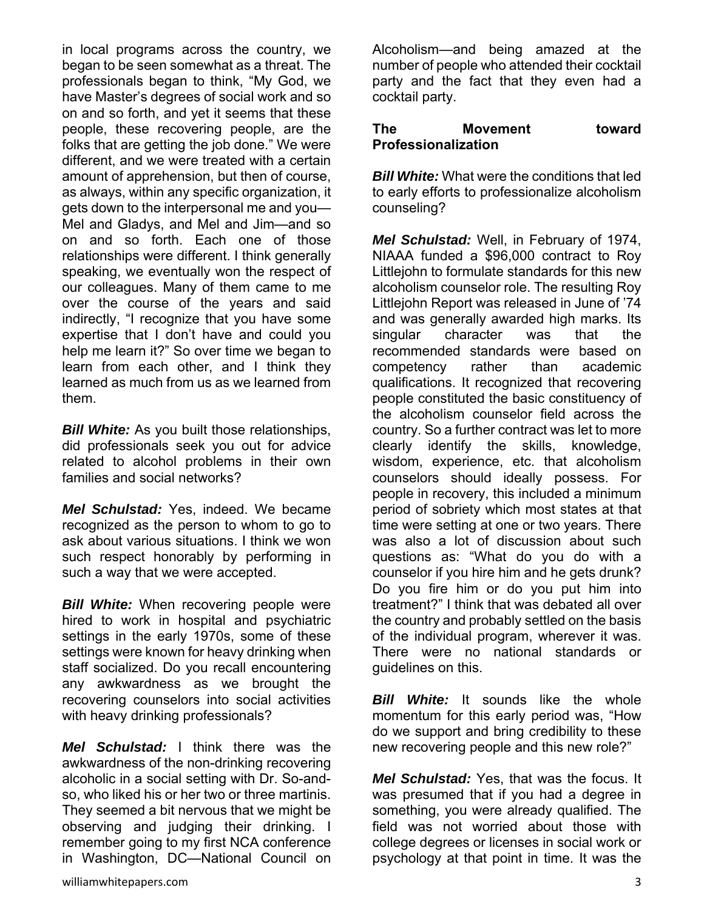in local programs across the country, we began to be seen somewhat as a threat. The professionals began to think, "My God, we have Master's degrees of social work and so on and so forth, and yet it seems that these people, these recovering people, are the folks that are getting the job done." We were different, and we were treated with a certain amount of apprehension, but then of course, as always, within any specific organization, it gets down to the interpersonal me and you— Mel and Gladys, and Mel and Jim—and so on and so forth. Each one of those relationships were different. I think generally speaking, we eventually won the respect of our colleagues. Many of them came to me over the course of the years and said indirectly, "I recognize that you have some expertise that I don't have and could you help me learn it?" So over time we began to learn from each other, and I think they learned as much from us as we learned from them.

*Bill White:* As you built those relationships, did professionals seek you out for advice related to alcohol problems in their own families and social networks?

*Mel Schulstad:* Yes, indeed. We became recognized as the person to whom to go to ask about various situations. I think we won such respect honorably by performing in such a way that we were accepted.

*Bill White:* When recovering people were hired to work in hospital and psychiatric settings in the early 1970s, some of these settings were known for heavy drinking when staff socialized. Do you recall encountering any awkwardness as we brought the recovering counselors into social activities with heavy drinking professionals?

*Mel Schulstad:* I think there was the awkwardness of the non-drinking recovering alcoholic in a social setting with Dr. So-andso, who liked his or her two or three martinis. They seemed a bit nervous that we might be observing and judging their drinking. I remember going to my first NCA conference in Washington, DC—National Council on Alcoholism—and being amazed at the number of people who attended their cocktail party and the fact that they even had a cocktail party.

#### **The Movement toward Professionalization**

*Bill White:* What were the conditions that led to early efforts to professionalize alcoholism counseling?

*Mel Schulstad:* Well, in February of 1974, NIAAA funded a \$96,000 contract to Roy Littlejohn to formulate standards for this new alcoholism counselor role. The resulting Roy Littlejohn Report was released in June of '74 and was generally awarded high marks. Its singular character was that the recommended standards were based on competency rather than academic qualifications. It recognized that recovering people constituted the basic constituency of the alcoholism counselor field across the country. So a further contract was let to more clearly identify the skills, knowledge, wisdom, experience, etc. that alcoholism counselors should ideally possess. For people in recovery, this included a minimum period of sobriety which most states at that time were setting at one or two years. There was also a lot of discussion about such questions as: "What do you do with a counselor if you hire him and he gets drunk? Do you fire him or do you put him into treatment?" I think that was debated all over the country and probably settled on the basis of the individual program, wherever it was. There were no national standards or guidelines on this.

*Bill White:* It sounds like the whole momentum for this early period was, "How do we support and bring credibility to these new recovering people and this new role?"

*Mel Schulstad:* Yes, that was the focus. It was presumed that if you had a degree in something, you were already qualified. The field was not worried about those with college degrees or licenses in social work or psychology at that point in time. It was the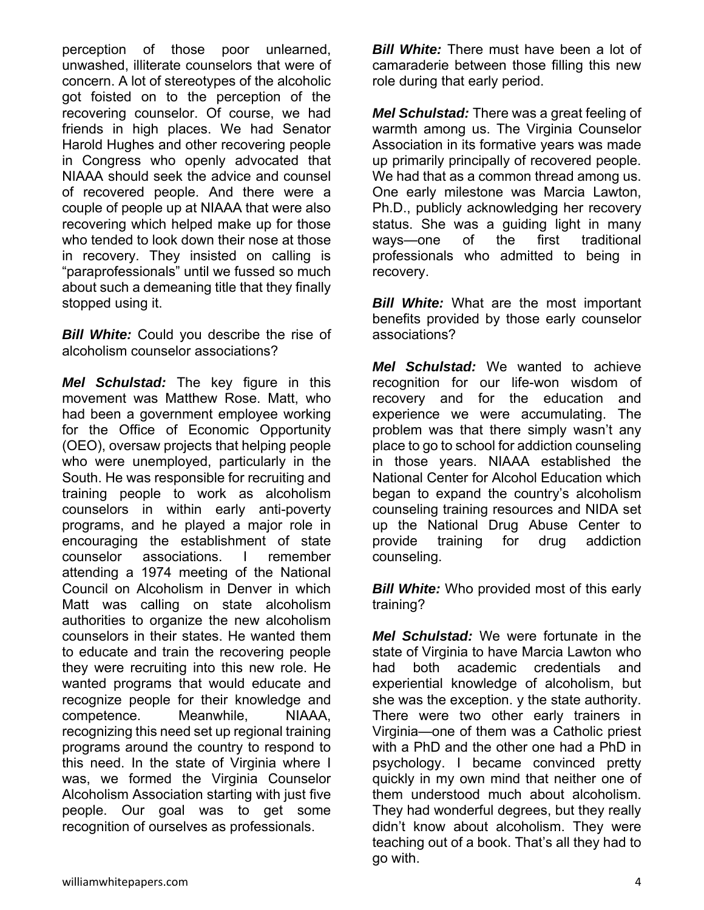perception of those poor unlearned, unwashed, illiterate counselors that were of concern. A lot of stereotypes of the alcoholic got foisted on to the perception of the recovering counselor. Of course, we had friends in high places. We had Senator Harold Hughes and other recovering people in Congress who openly advocated that NIAAA should seek the advice and counsel of recovered people. And there were a couple of people up at NIAAA that were also recovering which helped make up for those who tended to look down their nose at those in recovery. They insisted on calling is "paraprofessionals" until we fussed so much about such a demeaning title that they finally stopped using it.

**Bill White:** Could you describe the rise of alcoholism counselor associations?

*Mel Schulstad:* The key figure in this movement was Matthew Rose. Matt, who had been a government employee working for the Office of Economic Opportunity (OEO), oversaw projects that helping people who were unemployed, particularly in the South. He was responsible for recruiting and training people to work as alcoholism counselors in within early anti-poverty programs, and he played a major role in encouraging the establishment of state counselor associations. I remember attending a 1974 meeting of the National Council on Alcoholism in Denver in which Matt was calling on state alcoholism authorities to organize the new alcoholism counselors in their states. He wanted them to educate and train the recovering people they were recruiting into this new role. He wanted programs that would educate and recognize people for their knowledge and competence. Meanwhile, NIAAA, recognizing this need set up regional training programs around the country to respond to this need. In the state of Virginia where I was, we formed the Virginia Counselor Alcoholism Association starting with just five people. Our goal was to get some recognition of ourselves as professionals.

*Bill White:* There must have been a lot of camaraderie between those filling this new role during that early period.

*Mel Schulstad:* There was a great feeling of warmth among us. The Virginia Counselor Association in its formative years was made up primarily principally of recovered people. We had that as a common thread among us. One early milestone was Marcia Lawton, Ph.D., publicly acknowledging her recovery status. She was a guiding light in many ways—one of the first traditional professionals who admitted to being in recovery.

**Bill White:** What are the most important benefits provided by those early counselor associations?

*Mel Schulstad:* We wanted to achieve recognition for our life-won wisdom of recovery and for the education and experience we were accumulating. The problem was that there simply wasn't any place to go to school for addiction counseling in those years. NIAAA established the National Center for Alcohol Education which began to expand the country's alcoholism counseling training resources and NIDA set up the National Drug Abuse Center to provide training for drug addiction counseling.

**Bill White:** Who provided most of this early training?

*Mel Schulstad:* We were fortunate in the state of Virginia to have Marcia Lawton who had both academic credentials and experiential knowledge of alcoholism, but she was the exception. y the state authority. There were two other early trainers in Virginia—one of them was a Catholic priest with a PhD and the other one had a PhD in psychology. I became convinced pretty quickly in my own mind that neither one of them understood much about alcoholism. They had wonderful degrees, but they really didn't know about alcoholism. They were teaching out of a book. That's all they had to go with.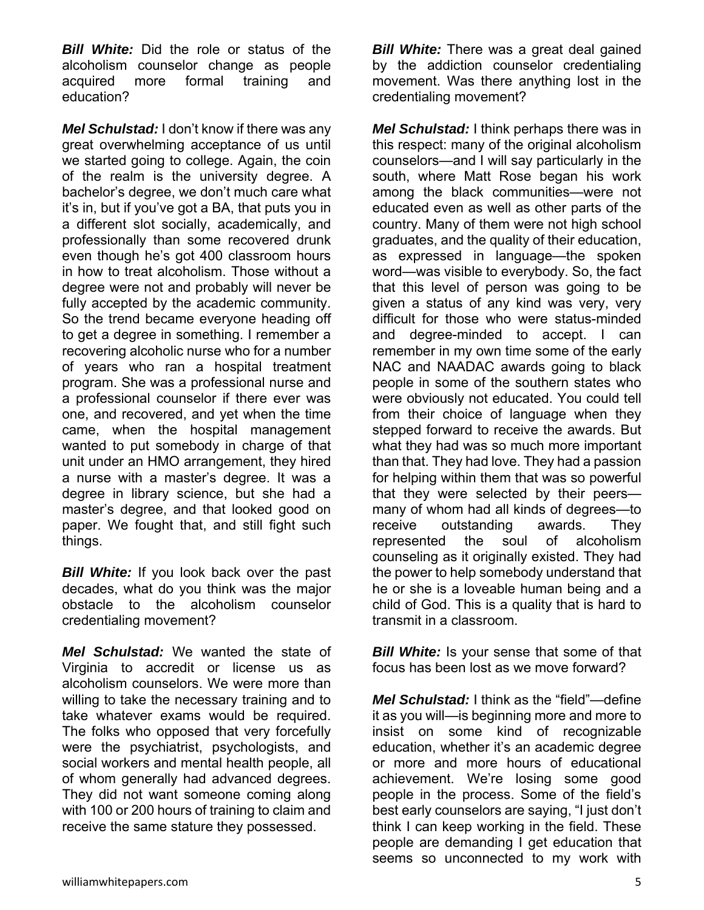*Bill White:* Did the role or status of the alcoholism counselor change as people acquired more formal training and education?

*Mel Schulstad:* I don't know if there was any great overwhelming acceptance of us until we started going to college. Again, the coin of the realm is the university degree. A bachelor's degree, we don't much care what it's in, but if you've got a BA, that puts you in a different slot socially, academically, and professionally than some recovered drunk even though he's got 400 classroom hours in how to treat alcoholism. Those without a degree were not and probably will never be fully accepted by the academic community. So the trend became everyone heading off to get a degree in something. I remember a recovering alcoholic nurse who for a number of years who ran a hospital treatment program. She was a professional nurse and a professional counselor if there ever was one, and recovered, and yet when the time came, when the hospital management wanted to put somebody in charge of that unit under an HMO arrangement, they hired a nurse with a master's degree. It was a degree in library science, but she had a master's degree, and that looked good on paper. We fought that, and still fight such things.

*Bill White:* If you look back over the past decades, what do you think was the major obstacle to the alcoholism counselor credentialing movement?

*Mel Schulstad:* We wanted the state of Virginia to accredit or license us as alcoholism counselors. We were more than willing to take the necessary training and to take whatever exams would be required. The folks who opposed that very forcefully were the psychiatrist, psychologists, and social workers and mental health people, all of whom generally had advanced degrees. They did not want someone coming along with 100 or 200 hours of training to claim and receive the same stature they possessed.

**Bill White:** There was a great deal gained by the addiction counselor credentialing movement. Was there anything lost in the credentialing movement?

*Mel Schulstad:* I think perhaps there was in this respect: many of the original alcoholism counselors—and I will say particularly in the south, where Matt Rose began his work among the black communities—were not educated even as well as other parts of the country. Many of them were not high school graduates, and the quality of their education, as expressed in language—the spoken word—was visible to everybody. So, the fact that this level of person was going to be given a status of any kind was very, very difficult for those who were status-minded and degree-minded to accept. I can remember in my own time some of the early NAC and NAADAC awards going to black people in some of the southern states who were obviously not educated. You could tell from their choice of language when they stepped forward to receive the awards. But what they had was so much more important than that. They had love. They had a passion for helping within them that was so powerful that they were selected by their peers many of whom had all kinds of degrees—to receive outstanding awards. They represented the soul of alcoholism counseling as it originally existed. They had the power to help somebody understand that he or she is a loveable human being and a child of God. This is a quality that is hard to transmit in a classroom.

*Bill White:* Is your sense that some of that focus has been lost as we move forward?

*Mel Schulstad:* I think as the "field"—define it as you will—is beginning more and more to insist on some kind of recognizable education, whether it's an academic degree or more and more hours of educational achievement. We're losing some good people in the process. Some of the field's best early counselors are saying, "I just don't think I can keep working in the field. These people are demanding I get education that seems so unconnected to my work with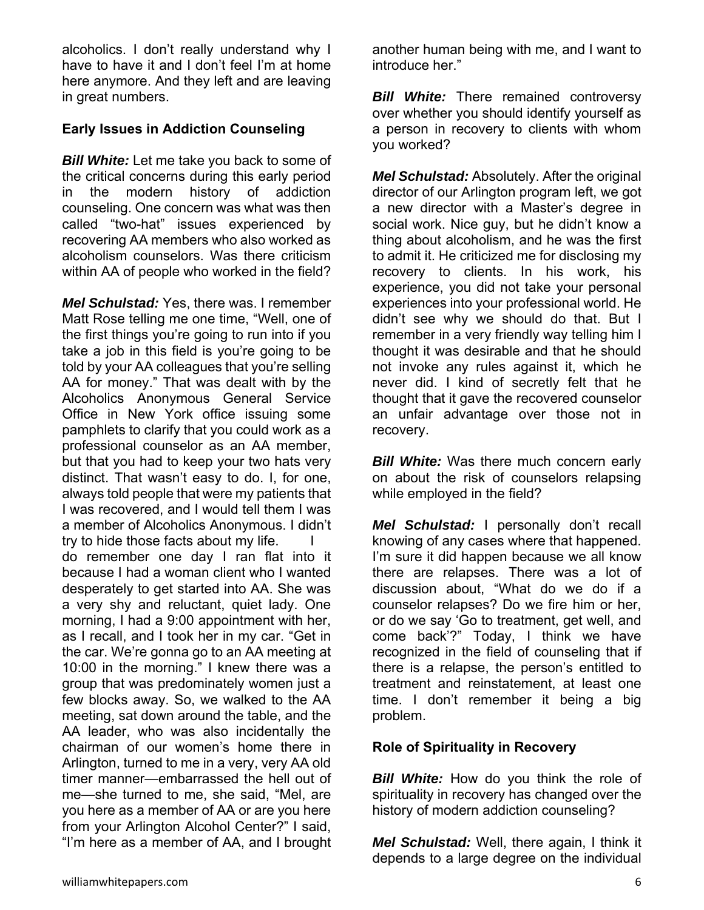alcoholics. I don't really understand why I have to have it and I don't feel I'm at home here anymore. And they left and are leaving in great numbers.

#### **Early Issues in Addiction Counseling**

*Bill White:* Let me take you back to some of the critical concerns during this early period in the modern history of addiction counseling. One concern was what was then called "two-hat" issues experienced by recovering AA members who also worked as alcoholism counselors. Was there criticism within AA of people who worked in the field?

*Mel Schulstad:* Yes, there was. I remember Matt Rose telling me one time, "Well, one of the first things you're going to run into if you take a job in this field is you're going to be told by your AA colleagues that you're selling AA for money." That was dealt with by the Alcoholics Anonymous General Service Office in New York office issuing some pamphlets to clarify that you could work as a professional counselor as an AA member, but that you had to keep your two hats very distinct. That wasn't easy to do. I, for one, always told people that were my patients that I was recovered, and I would tell them I was a member of Alcoholics Anonymous. I didn't try to hide those facts about my life.

do remember one day I ran flat into it because I had a woman client who I wanted desperately to get started into AA. She was a very shy and reluctant, quiet lady. One morning, I had a 9:00 appointment with her, as I recall, and I took her in my car. "Get in the car. We're gonna go to an AA meeting at 10:00 in the morning." I knew there was a group that was predominately women just a few blocks away. So, we walked to the AA meeting, sat down around the table, and the AA leader, who was also incidentally the chairman of our women's home there in Arlington, turned to me in a very, very AA old timer manner—embarrassed the hell out of me—she turned to me, she said, "Mel, are you here as a member of AA or are you here from your Arlington Alcohol Center?" I said, "I'm here as a member of AA, and I brought

another human being with me, and I want to introduce her."

*Bill White:* There remained controversy over whether you should identify yourself as a person in recovery to clients with whom you worked?

*Mel Schulstad:* Absolutely. After the original director of our Arlington program left, we got a new director with a Master's degree in social work. Nice guy, but he didn't know a thing about alcoholism, and he was the first to admit it. He criticized me for disclosing my recovery to clients. In his work, his experience, you did not take your personal experiences into your professional world. He didn't see why we should do that. But I remember in a very friendly way telling him I thought it was desirable and that he should not invoke any rules against it, which he never did. I kind of secretly felt that he thought that it gave the recovered counselor an unfair advantage over those not in recovery.

*Bill White:* Was there much concern early on about the risk of counselors relapsing while employed in the field?

*Mel Schulstad:* I personally don't recall knowing of any cases where that happened. I'm sure it did happen because we all know there are relapses. There was a lot of discussion about, "What do we do if a counselor relapses? Do we fire him or her, or do we say 'Go to treatment, get well, and come back'?" Today, I think we have recognized in the field of counseling that if there is a relapse, the person's entitled to treatment and reinstatement, at least one time. I don't remember it being a big problem.

#### **Role of Spirituality in Recovery**

*Bill White:* How do you think the role of spirituality in recovery has changed over the history of modern addiction counseling?

*Mel Schulstad:* Well, there again, I think it depends to a large degree on the individual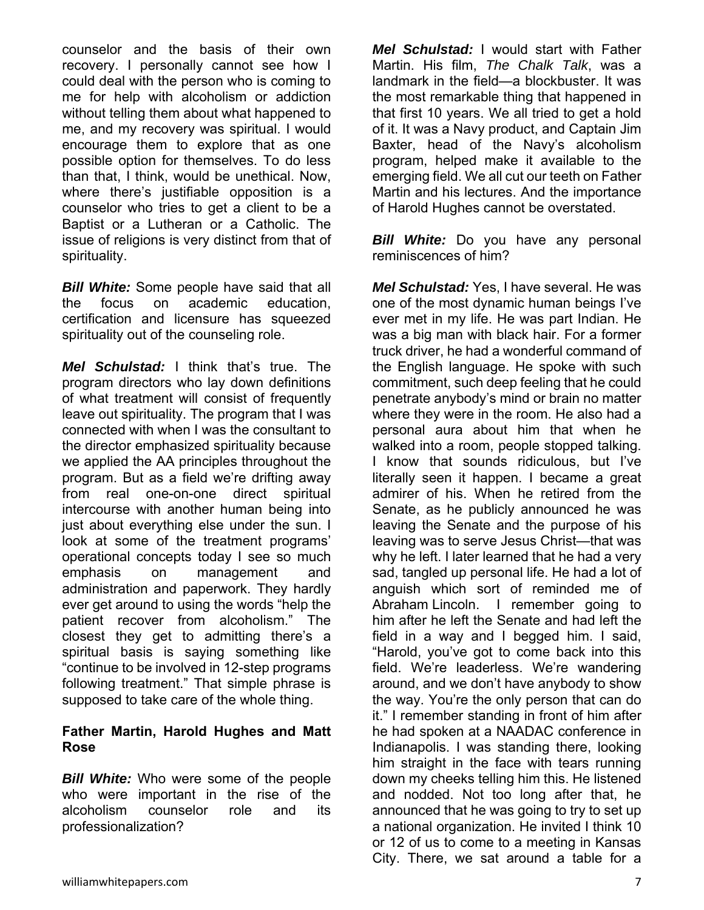counselor and the basis of their own recovery. I personally cannot see how I could deal with the person who is coming to me for help with alcoholism or addiction without telling them about what happened to me, and my recovery was spiritual. I would encourage them to explore that as one possible option for themselves. To do less than that, I think, would be unethical. Now, where there's justifiable opposition is a counselor who tries to get a client to be a Baptist or a Lutheran or a Catholic. The issue of religions is very distinct from that of spirituality.

*Bill White:* Some people have said that all the focus on academic education, certification and licensure has squeezed spirituality out of the counseling role.

*Mel Schulstad:* I think that's true. The program directors who lay down definitions of what treatment will consist of frequently leave out spirituality. The program that I was connected with when I was the consultant to the director emphasized spirituality because we applied the AA principles throughout the program. But as a field we're drifting away from real one-on-one direct spiritual intercourse with another human being into just about everything else under the sun. I look at some of the treatment programs' operational concepts today I see so much emphasis on management and administration and paperwork. They hardly ever get around to using the words "help the patient recover from alcoholism." The closest they get to admitting there's a spiritual basis is saying something like "continue to be involved in 12-step programs following treatment." That simple phrase is supposed to take care of the whole thing.

#### **Father Martin, Harold Hughes and Matt Rose**

*Bill White:* Who were some of the people who were important in the rise of the alcoholism counselor role and its professionalization?

*Mel Schulstad:* I would start with Father Martin. His film, *The Chalk Talk*, was a landmark in the field—a blockbuster. It was the most remarkable thing that happened in that first 10 years. We all tried to get a hold of it. It was a Navy product, and Captain Jim Baxter, head of the Navy's alcoholism program, helped make it available to the emerging field. We all cut our teeth on Father Martin and his lectures. And the importance of Harold Hughes cannot be overstated.

*Bill White:* Do you have any personal reminiscences of him?

*Mel Schulstad:* Yes, I have several. He was one of the most dynamic human beings I've ever met in my life. He was part Indian. He was a big man with black hair. For a former truck driver, he had a wonderful command of the English language. He spoke with such commitment, such deep feeling that he could penetrate anybody's mind or brain no matter where they were in the room. He also had a personal aura about him that when he walked into a room, people stopped talking. I know that sounds ridiculous, but I've literally seen it happen. I became a great admirer of his. When he retired from the Senate, as he publicly announced he was leaving the Senate and the purpose of his leaving was to serve Jesus Christ—that was why he left. I later learned that he had a very sad, tangled up personal life. He had a lot of anguish which sort of reminded me of Abraham Lincoln. I remember going to him after he left the Senate and had left the field in a way and I begged him. I said, "Harold, you've got to come back into this field. We're leaderless. We're wandering around, and we don't have anybody to show the way. You're the only person that can do it." I remember standing in front of him after he had spoken at a NAADAC conference in Indianapolis. I was standing there, looking him straight in the face with tears running down my cheeks telling him this. He listened and nodded. Not too long after that, he announced that he was going to try to set up a national organization. He invited I think 10 or 12 of us to come to a meeting in Kansas City. There, we sat around a table for a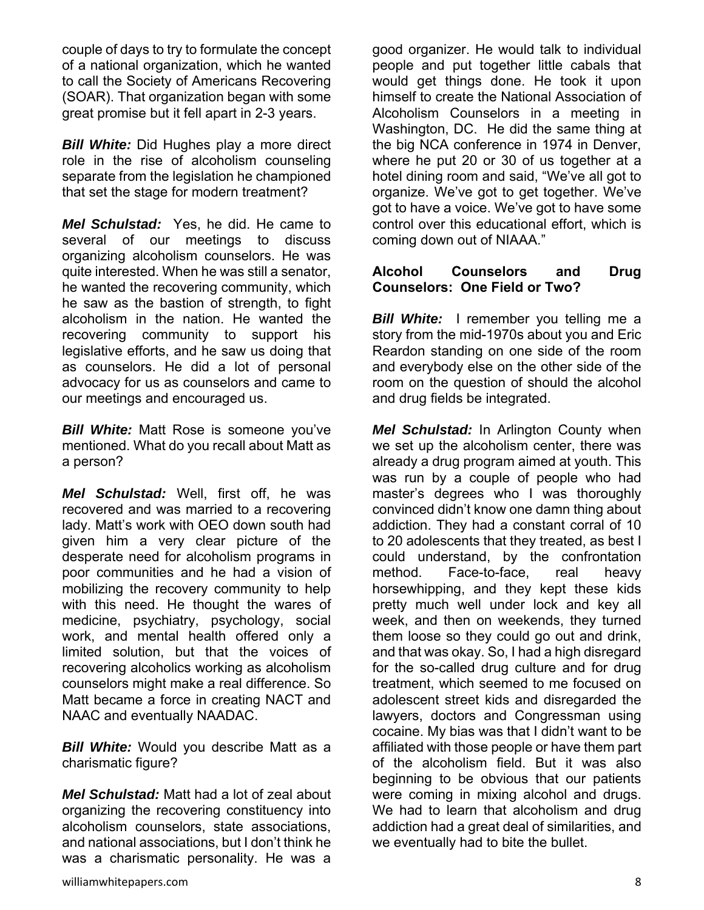couple of days to try to formulate the concept of a national organization, which he wanted to call the Society of Americans Recovering (SOAR). That organization began with some great promise but it fell apart in 2-3 years.

*Bill White:* Did Hughes play a more direct role in the rise of alcoholism counseling separate from the legislation he championed that set the stage for modern treatment?

*Mel Schulstad:* Yes, he did. He came to several of our meetings to discuss organizing alcoholism counselors. He was quite interested. When he was still a senator, he wanted the recovering community, which he saw as the bastion of strength, to fight alcoholism in the nation. He wanted the recovering community to support his legislative efforts, and he saw us doing that as counselors. He did a lot of personal advocacy for us as counselors and came to our meetings and encouraged us.

*Bill White:* Matt Rose is someone you've mentioned. What do you recall about Matt as a person?

*Mel Schulstad:* Well, first off, he was recovered and was married to a recovering lady. Matt's work with OEO down south had given him a very clear picture of the desperate need for alcoholism programs in poor communities and he had a vision of mobilizing the recovery community to help with this need. He thought the wares of medicine, psychiatry, psychology, social work, and mental health offered only a limited solution, but that the voices of recovering alcoholics working as alcoholism counselors might make a real difference. So Matt became a force in creating NACT and NAAC and eventually NAADAC.

*Bill White:* Would you describe Matt as a charismatic figure?

*Mel Schulstad:* Matt had a lot of zeal about organizing the recovering constituency into alcoholism counselors, state associations, and national associations, but I don't think he was a charismatic personality. He was a

good organizer. He would talk to individual people and put together little cabals that would get things done. He took it upon himself to create the National Association of Alcoholism Counselors in a meeting in Washington, DC. He did the same thing at the big NCA conference in 1974 in Denver, where he put 20 or 30 of us together at a hotel dining room and said, "We've all got to organize. We've got to get together. We've got to have a voice. We've got to have some control over this educational effort, which is coming down out of NIAAA."

#### **Alcohol Counselors and Drug Counselors: One Field or Two?**

*Bill White:* I remember you telling me a story from the mid-1970s about you and Eric Reardon standing on one side of the room and everybody else on the other side of the room on the question of should the alcohol and drug fields be integrated.

*Mel Schulstad:* In Arlington County when we set up the alcoholism center, there was already a drug program aimed at youth. This was run by a couple of people who had master's degrees who I was thoroughly convinced didn't know one damn thing about addiction. They had a constant corral of 10 to 20 adolescents that they treated, as best I could understand, by the confrontation method. Face-to-face, real heavy horsewhipping, and they kept these kids pretty much well under lock and key all week, and then on weekends, they turned them loose so they could go out and drink, and that was okay. So, I had a high disregard for the so-called drug culture and for drug treatment, which seemed to me focused on adolescent street kids and disregarded the lawyers, doctors and Congressman using cocaine. My bias was that I didn't want to be affiliated with those people or have them part of the alcoholism field. But it was also beginning to be obvious that our patients were coming in mixing alcohol and drugs. We had to learn that alcoholism and drug addiction had a great deal of similarities, and we eventually had to bite the bullet.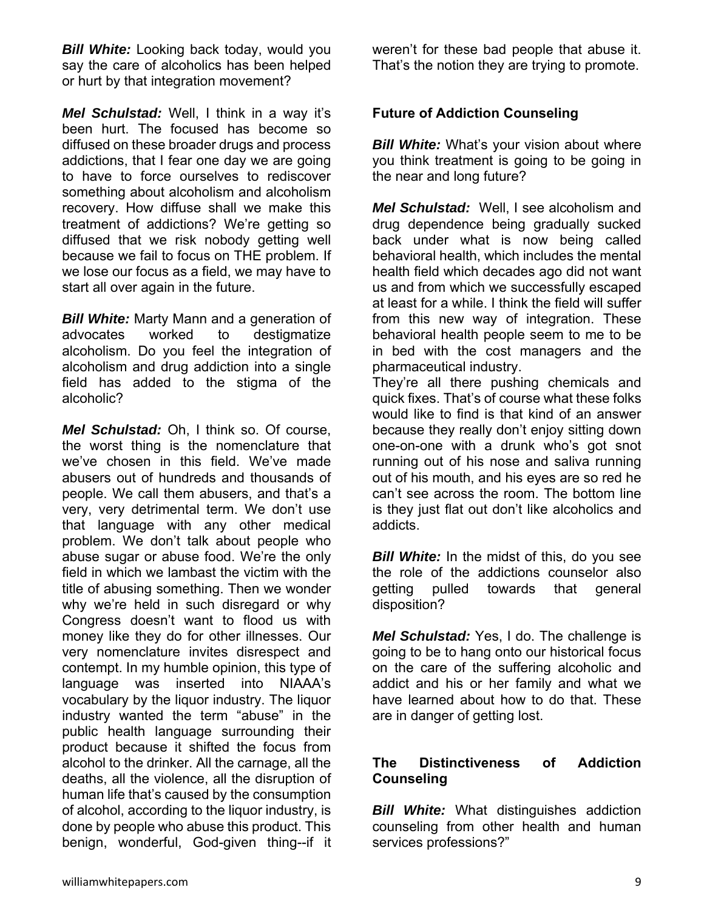**Bill White:** Looking back today, would you say the care of alcoholics has been helped or hurt by that integration movement?

*Mel Schulstad:* Well, I think in a way it's been hurt. The focused has become so diffused on these broader drugs and process addictions, that I fear one day we are going to have to force ourselves to rediscover something about alcoholism and alcoholism recovery. How diffuse shall we make this treatment of addictions? We're getting so diffused that we risk nobody getting well because we fail to focus on THE problem. If we lose our focus as a field, we may have to start all over again in the future.

*Bill White:* Marty Mann and a generation of advocates worked to destigmatize alcoholism. Do you feel the integration of alcoholism and drug addiction into a single field has added to the stigma of the alcoholic?

*Mel Schulstad:* Oh, I think so. Of course, the worst thing is the nomenclature that we've chosen in this field. We've made abusers out of hundreds and thousands of people. We call them abusers, and that's a very, very detrimental term. We don't use that language with any other medical problem. We don't talk about people who abuse sugar or abuse food. We're the only field in which we lambast the victim with the title of abusing something. Then we wonder why we're held in such disregard or why Congress doesn't want to flood us with money like they do for other illnesses. Our very nomenclature invites disrespect and contempt. In my humble opinion, this type of language was inserted into NIAAA's vocabulary by the liquor industry. The liquor industry wanted the term "abuse" in the public health language surrounding their product because it shifted the focus from alcohol to the drinker. All the carnage, all the deaths, all the violence, all the disruption of human life that's caused by the consumption of alcohol, according to the liquor industry, is done by people who abuse this product. This benign, wonderful, God-given thing--if it

weren't for these bad people that abuse it. That's the notion they are trying to promote.

# **Future of Addiction Counseling**

*Bill White:* What's your vision about where you think treatment is going to be going in the near and long future?

*Mel Schulstad:* Well, I see alcoholism and drug dependence being gradually sucked back under what is now being called behavioral health, which includes the mental health field which decades ago did not want us and from which we successfully escaped at least for a while. I think the field will suffer from this new way of integration. These behavioral health people seem to me to be in bed with the cost managers and the pharmaceutical industry.

They're all there pushing chemicals and quick fixes. That's of course what these folks would like to find is that kind of an answer because they really don't enjoy sitting down one-on-one with a drunk who's got snot running out of his nose and saliva running out of his mouth, and his eyes are so red he can't see across the room. The bottom line is they just flat out don't like alcoholics and addicts.

*Bill White:* In the midst of this, do you see the role of the addictions counselor also getting pulled towards that general disposition?

*Mel Schulstad:* Yes, I do. The challenge is going to be to hang onto our historical focus on the care of the suffering alcoholic and addict and his or her family and what we have learned about how to do that. These are in danger of getting lost.

## **The Distinctiveness of Addiction Counseling**

*Bill White:* What distinguishes addiction counseling from other health and human services professions?"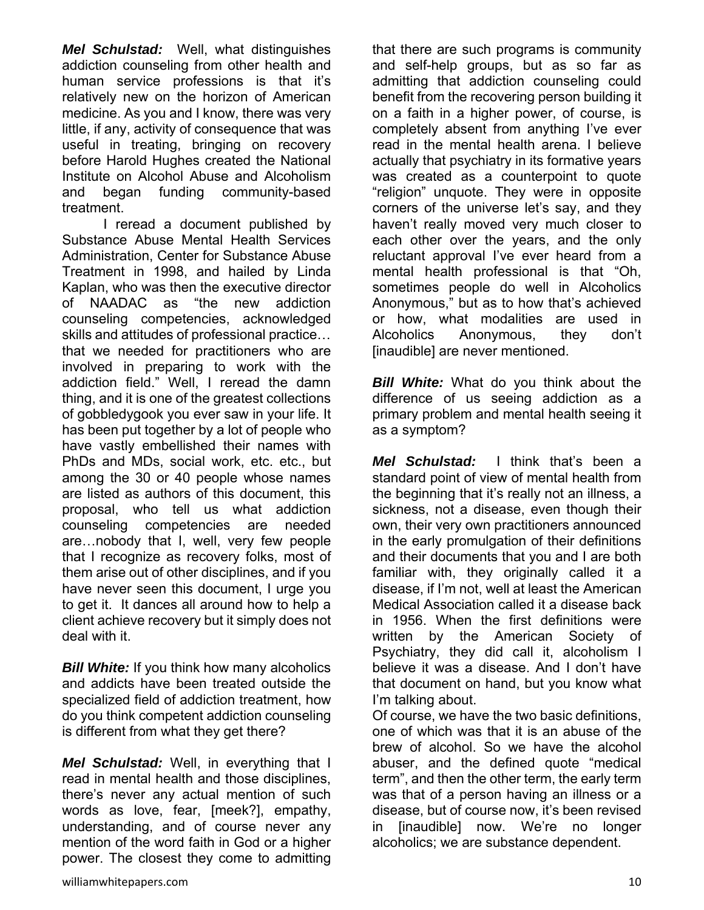*Mel Schulstad:* Well, what distinguishes addiction counseling from other health and human service professions is that it's relatively new on the horizon of American medicine. As you and I know, there was very little, if any, activity of consequence that was useful in treating, bringing on recovery before Harold Hughes created the National Institute on Alcohol Abuse and Alcoholism and began funding community-based treatment.

 I reread a document published by Substance Abuse Mental Health Services Administration, Center for Substance Abuse Treatment in 1998, and hailed by Linda Kaplan, who was then the executive director of NAADAC as "the new addiction counseling competencies, acknowledged skills and attitudes of professional practice… that we needed for practitioners who are involved in preparing to work with the addiction field." Well, I reread the damn thing, and it is one of the greatest collections of gobbledygook you ever saw in your life. It has been put together by a lot of people who have vastly embellished their names with PhDs and MDs, social work, etc. etc., but among the 30 or 40 people whose names are listed as authors of this document, this proposal, who tell us what addiction counseling competencies are needed are…nobody that I, well, very few people that I recognize as recovery folks, most of them arise out of other disciplines, and if you have never seen this document, I urge you to get it. It dances all around how to help a client achieve recovery but it simply does not deal with it.

*Bill White:* If you think how many alcoholics and addicts have been treated outside the specialized field of addiction treatment, how do you think competent addiction counseling is different from what they get there?

*Mel Schulstad:* Well, in everything that I read in mental health and those disciplines, there's never any actual mention of such words as love, fear, [meek?], empathy, understanding, and of course never any mention of the word faith in God or a higher power. The closest they come to admitting

that there are such programs is community and self-help groups, but as so far as admitting that addiction counseling could benefit from the recovering person building it on a faith in a higher power, of course, is completely absent from anything I've ever read in the mental health arena. I believe actually that psychiatry in its formative years was created as a counterpoint to quote "religion" unquote. They were in opposite corners of the universe let's say, and they haven't really moved very much closer to each other over the years, and the only reluctant approval I've ever heard from a mental health professional is that "Oh, sometimes people do well in Alcoholics Anonymous," but as to how that's achieved or how, what modalities are used in Alcoholics Anonymous, they don't [inaudible] are never mentioned.

*Bill White:* What do you think about the difference of us seeing addiction as a primary problem and mental health seeing it as a symptom?

*Mel Schulstad:* I think that's been a standard point of view of mental health from the beginning that it's really not an illness, a sickness, not a disease, even though their own, their very own practitioners announced in the early promulgation of their definitions and their documents that you and I are both familiar with, they originally called it a disease, if I'm not, well at least the American Medical Association called it a disease back in 1956. When the first definitions were written by the American Society of Psychiatry, they did call it, alcoholism I believe it was a disease. And I don't have that document on hand, but you know what I'm talking about.

Of course, we have the two basic definitions, one of which was that it is an abuse of the brew of alcohol. So we have the alcohol abuser, and the defined quote "medical term", and then the other term, the early term was that of a person having an illness or a disease, but of course now, it's been revised in [inaudible] now. We're no longer alcoholics; we are substance dependent.